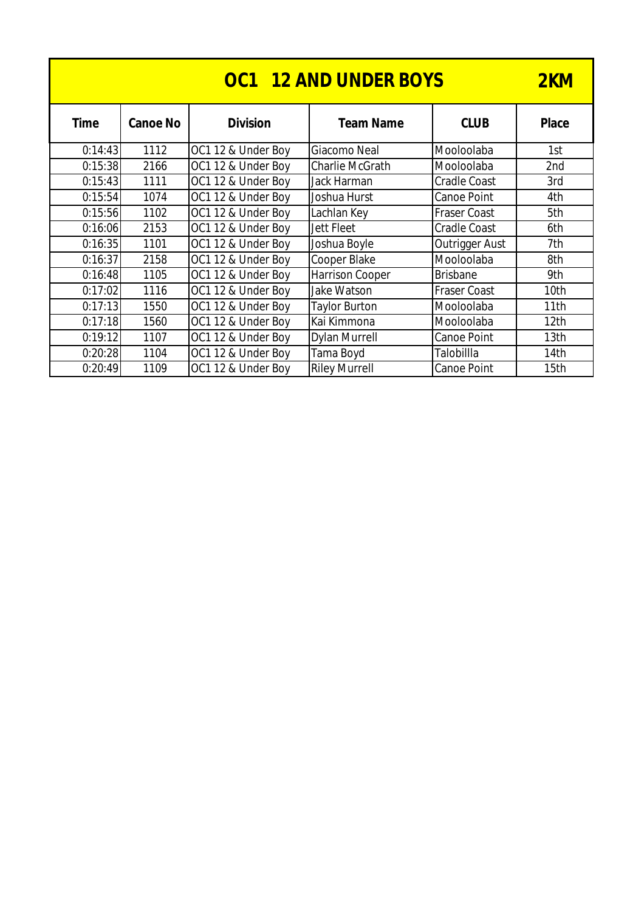| <b>OC1 12 AND UNDER BOYS</b> |                 |                    |                        |                     |                  |  |
|------------------------------|-----------------|--------------------|------------------------|---------------------|------------------|--|
| <b>Time</b>                  | <b>Canoe No</b> | <b>Division</b>    | <b>Team Name</b>       | <b>CLUB</b>         | <b>Place</b>     |  |
| 0:14:43                      | 1112            | OC1 12 & Under Boy | Giacomo Neal           | Mooloolaba          | 1st              |  |
| 0:15:38                      | 2166            | OC1 12 & Under Boy | <b>Charlie McGrath</b> | Mooloolaba          | 2nd              |  |
| 0:15:43                      | 1111            | OC1 12 & Under Boy | Jack Harman            | <b>Cradle Coast</b> | 3rd              |  |
| 0:15:54                      | 1074            | OC1 12 & Under Boy | Joshua Hurst           | Canoe Point         | 4th              |  |
| 0:15:56                      | 1102            | OC1 12 & Under Boy | Lachlan Key            | <b>Fraser Coast</b> | 5th              |  |
| 0:16:06                      | 2153            | OC1 12 & Under Boy | Jett Fleet             | <b>Cradle Coast</b> | 6th              |  |
| 0:16:35                      | 1101            | OC1 12 & Under Boy | Joshua Boyle           | Outrigger Aust      | 7th              |  |
| 0:16:37                      | 2158            | OC1 12 & Under Boy | Cooper Blake           | Mooloolaba          | 8th              |  |
| 0:16:48                      | 1105            | OC1 12 & Under Boy | <b>Harrison Cooper</b> | <b>Brisbane</b>     | 9th              |  |
| 0:17:02                      | 1116            | OC1 12 & Under Boy | Jake Watson            | <b>Fraser Coast</b> | 10th             |  |
| 0:17:13                      | 1550            | OC1 12 & Under Boy | <b>Taylor Burton</b>   | Mooloolaba          | 11th             |  |
| 0:17:18                      | 1560            | OC1 12 & Under Boy | Kai Kimmona            | Mooloolaba          | 12 <sub>th</sub> |  |
| 0:19:12                      | 1107            | OC1 12 & Under Boy | <b>Dylan Murrell</b>   | Canoe Point         | 13th             |  |
| 0:20:28                      | 1104            | OC1 12 & Under Boy | Tama Boyd              | Talobillla          | 14th             |  |
| 0:20:49                      | 1109            | OC1 12 & Under Boy | <b>Riley Murrell</b>   | Canoe Point         | 15th             |  |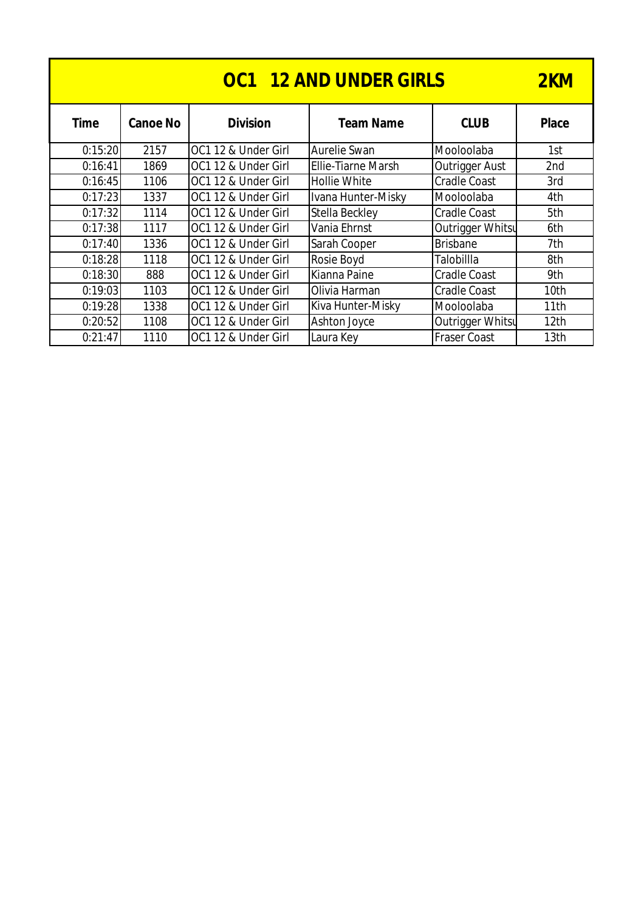| <b>OC1 12 AND UNDER GIRLS</b> |                 |                     |                           |                     |                  |  |
|-------------------------------|-----------------|---------------------|---------------------------|---------------------|------------------|--|
| <b>Time</b>                   | <b>Canoe No</b> | <b>Division</b>     | <b>Team Name</b>          | <b>CLUB</b>         | <b>Place</b>     |  |
| 0:15:20                       | 2157            | OC1 12 & Under Girl | Aurelie Swan              | Mooloolaba          | 1st              |  |
| 0:16:41                       | 1869            | OC1 12 & Under Girl | <b>Ellie-Tiarne Marsh</b> | Outrigger Aust      | 2nd              |  |
| 0:16:45                       | 1106            | OC1 12 & Under Girl | <b>Hollie White</b>       | <b>Cradle Coast</b> | 3rd              |  |
| 0:17:23                       | 1337            | OC1 12 & Under Girl | Ivana Hunter-Misky        | Mooloolaba          | 4th              |  |
| 0:17:32                       | 1114            | OC1 12 & Under Girl | Stella Beckley            | <b>Cradle Coast</b> | 5th              |  |
| 0:17:38                       | 1117            | OC1 12 & Under Girl | Vania Ehrnst              | Outrigger Whitsu    | 6th              |  |
| 0:17:40                       | 1336            | OC1 12 & Under Girl | Sarah Cooper              | <b>Brisbane</b>     | 7th              |  |
| 0:18:28                       | 1118            | OC1 12 & Under Girl | Rosie Boyd                | Talobillla          | 8th              |  |
| 0:18:30                       | 888             | OC1 12 & Under Girl | Kianna Paine              | <b>Cradle Coast</b> | 9th              |  |
| 0:19:03                       | 1103            | OC1 12 & Under Girl | Olivia Harman             | <b>Cradle Coast</b> | 10 <sub>th</sub> |  |
| 0:19:28                       | 1338            | OC1 12 & Under Girl | Kiva Hunter-Misky         | Mooloolaba          | 11th             |  |
| 0:20:52                       | 1108            | OC1 12 & Under Girl | Ashton Joyce              | Outrigger Whitsu    | 12 <sub>th</sub> |  |
| 0:21:47                       | 1110            | OC1 12 & Under Girl | Laura Key                 | <b>Fraser Coast</b> | 13th             |  |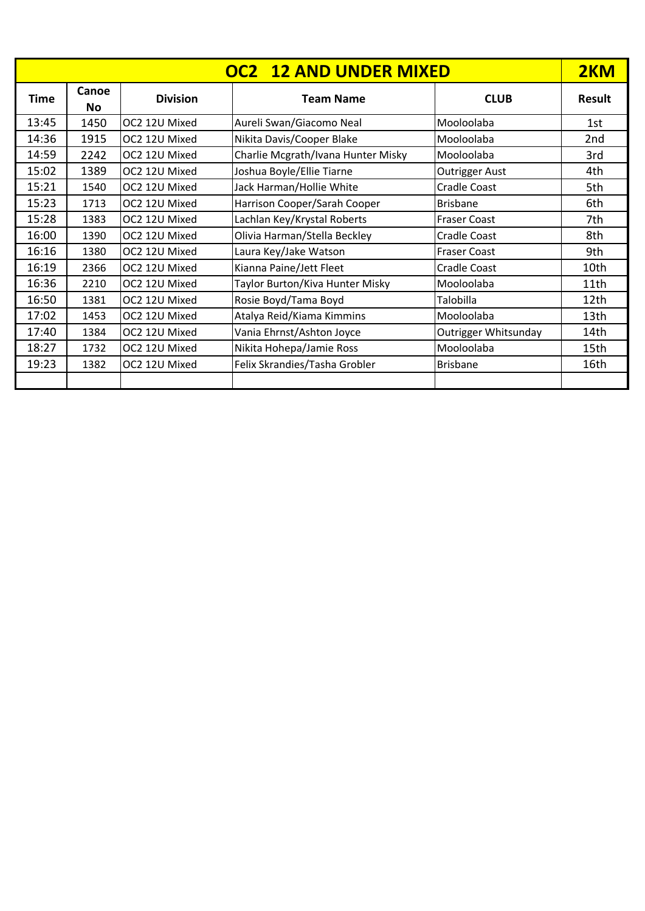|             | <b>OC2 12 AND UNDER MIXED</b> |                 |                                    |                       |               |  |
|-------------|-------------------------------|-----------------|------------------------------------|-----------------------|---------------|--|
| <b>Time</b> | Canoe<br>No                   | <b>Division</b> | <b>Team Name</b>                   | <b>CLUB</b>           | <b>Result</b> |  |
| 13:45       | 1450                          | OC2 12U Mixed   | Aureli Swan/Giacomo Neal           | Mooloolaba            | 1st           |  |
| 14:36       | 1915                          | OC2 12U Mixed   | Nikita Davis/Cooper Blake          | Mooloolaba            | 2nd           |  |
| 14:59       | 2242                          | OC2 12U Mixed   | Charlie Mcgrath/Ivana Hunter Misky | Mooloolaba            | 3rd           |  |
| 15:02       | 1389                          | OC2 12U Mixed   | Joshua Boyle/Ellie Tiarne          | <b>Outrigger Aust</b> | 4th           |  |
| 15:21       | 1540                          | OC2 12U Mixed   | Jack Harman/Hollie White           | <b>Cradle Coast</b>   | 5th           |  |
| 15:23       | 1713                          | OC2 12U Mixed   | Harrison Cooper/Sarah Cooper       | <b>Brisbane</b>       | 6th           |  |
| 15:28       | 1383                          | OC2 12U Mixed   | Lachlan Key/Krystal Roberts        | <b>Fraser Coast</b>   | 7th           |  |
| 16:00       | 1390                          | OC2 12U Mixed   | Olivia Harman/Stella Beckley       | <b>Cradle Coast</b>   | 8th           |  |
| 16:16       | 1380                          | OC2 12U Mixed   | Laura Key/Jake Watson              | <b>Fraser Coast</b>   | 9th           |  |
| 16:19       | 2366                          | OC2 12U Mixed   | Kianna Paine/Jett Fleet            | Cradle Coast          | 10th          |  |
| 16:36       | 2210                          | OC2 12U Mixed   | Taylor Burton/Kiva Hunter Misky    | Mooloolaba            | 11th          |  |
| 16:50       | 1381                          | OC2 12U Mixed   | Rosie Boyd/Tama Boyd               | Talobilla             | 12th          |  |
| 17:02       | 1453                          | OC2 12U Mixed   | Atalya Reid/Kiama Kimmins          | Mooloolaba            | 13th          |  |
| 17:40       | 1384                          | OC2 12U Mixed   | Vania Ehrnst/Ashton Joyce          | Outrigger Whitsunday  | 14th          |  |
| 18:27       | 1732                          | OC2 12U Mixed   | Nikita Hohepa/Jamie Ross           | Mooloolaba            | 15th          |  |
| 19:23       | 1382                          | OC2 12U Mixed   | Felix Skrandies/Tasha Grobler      | <b>Brisbane</b>       | 16th          |  |
|             |                               |                 |                                    |                       |               |  |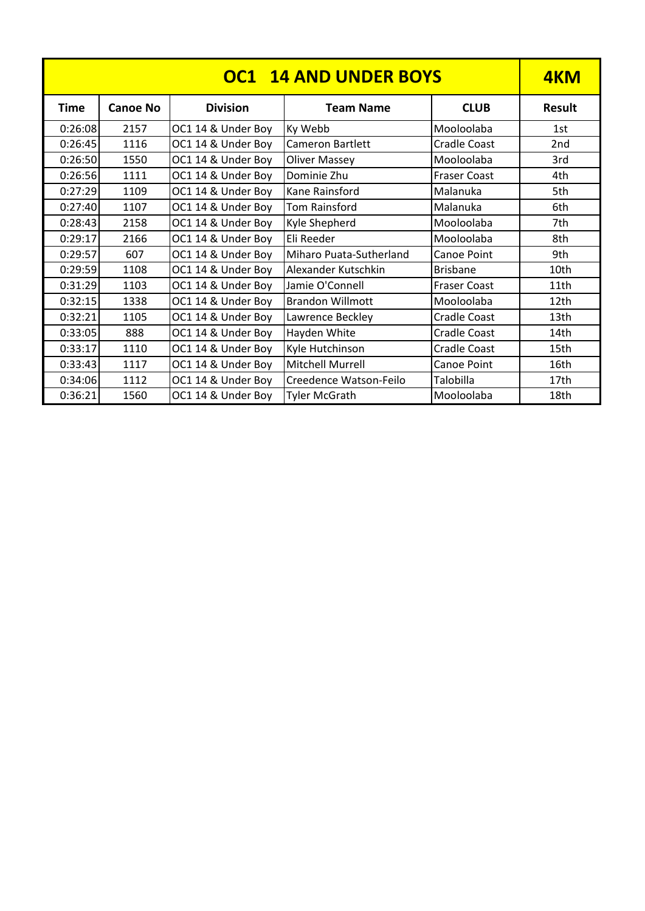| <b>OC1 14 AND UNDER BOYS</b> |                 |                    |                                |                     |                  |
|------------------------------|-----------------|--------------------|--------------------------------|---------------------|------------------|
| <b>Time</b>                  | <b>Canoe No</b> | <b>Division</b>    | <b>Team Name</b>               | <b>CLUB</b>         | <b>Result</b>    |
| 0:26:08                      | 2157            | OC1 14 & Under Boy | Ky Webb                        | Mooloolaba          | 1st              |
| 0:26:45                      | 1116            | OC1 14 & Under Boy | Cameron Bartlett               | <b>Cradle Coast</b> | 2 <sub>nd</sub>  |
| 0:26:50                      | 1550            | OC1 14 & Under Boy | <b>Oliver Massey</b>           | Mooloolaba          | 3rd              |
| 0:26:56                      | 1111            | OC1 14 & Under Boy | Dominie Zhu                    | <b>Fraser Coast</b> | 4th              |
| 0:27:29                      | 1109            | OC1 14 & Under Boy | Kane Rainsford                 | Malanuka            | 5th              |
| 0:27:40                      | 1107            | OC1 14 & Under Boy | <b>Tom Rainsford</b>           | Malanuka            | 6th              |
| 0:28:43                      | 2158            | OC1 14 & Under Boy | Kyle Shepherd                  | Mooloolaba          | 7th              |
| 0:29:17                      | 2166            | OC1 14 & Under Boy | Eli Reeder                     | Mooloolaba          | 8th              |
| 0:29:57                      | 607             | OC1 14 & Under Boy | <b>Miharo Puata-Sutherland</b> | <b>Canoe Point</b>  | 9th              |
| 0:29:59                      | 1108            | OC1 14 & Under Boy | Alexander Kutschkin            | <b>Brisbane</b>     | 10th             |
| 0:31:29                      | 1103            | OC1 14 & Under Boy | Jamie O'Connell                | <b>Fraser Coast</b> | 11th             |
| 0:32:15                      | 1338            | OC1 14 & Under Boy | <b>Brandon Willmott</b>        | Mooloolaba          | 12th             |
| 0:32:21                      | 1105            | OC1 14 & Under Boy | Lawrence Beckley               | Cradle Coast        | 13 <sub>th</sub> |
| 0:33:05                      | 888             | OC1 14 & Under Boy | Hayden White                   | Cradle Coast        | 14th             |
| 0:33:17                      | 1110            | OC1 14 & Under Boy | Kyle Hutchinson                | <b>Cradle Coast</b> | 15 <sub>th</sub> |
| 0:33:43                      | 1117            | OC1 14 & Under Boy | Mitchell Murrell               | Canoe Point         | 16th             |
| 0:34:06                      | 1112            | OC1 14 & Under Boy | Creedence Watson-Feilo         | Talobilla           | 17 <sub>th</sub> |
| 0:36:21                      | 1560            | OC1 14 & Under Boy | <b>Tyler McGrath</b>           | Mooloolaba          | 18th             |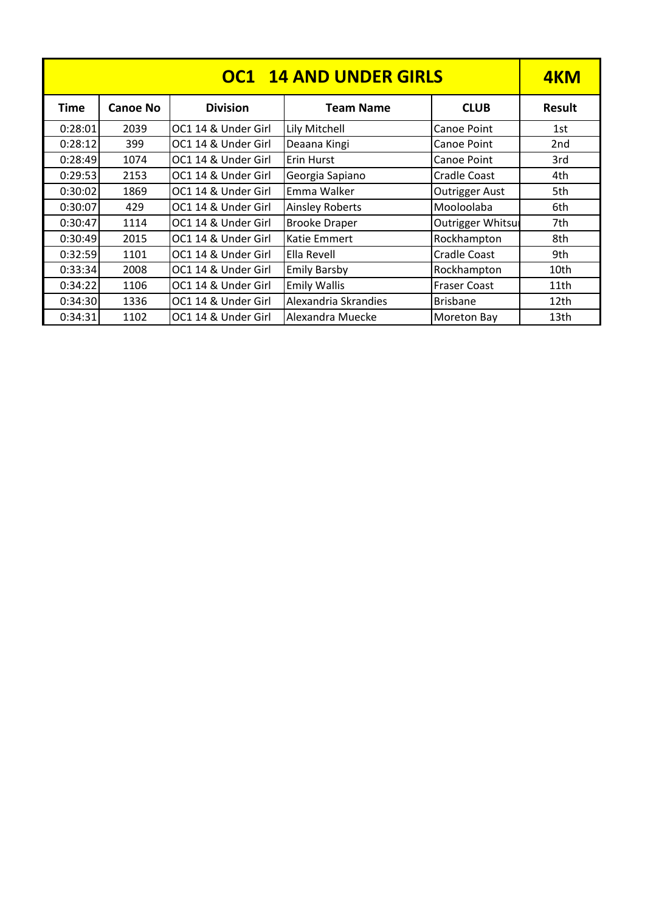| <b>OC1 14 AND UNDER GIRLS</b> |                 |                     |                        |                          |               |
|-------------------------------|-----------------|---------------------|------------------------|--------------------------|---------------|
| <b>Time</b>                   | <b>Canoe No</b> | <b>Division</b>     | <b>Team Name</b>       | <b>CLUB</b>              | <b>Result</b> |
| 0:28:01                       | 2039            | OC1 14 & Under Girl | Lily Mitchell          | Canoe Point              | 1st           |
| 0:28:12                       | 399             | OC1 14 & Under Girl | Deaana Kingi           | Canoe Point              | 2nd           |
| 0:28:49                       | 1074            | OC1 14 & Under Girl | Erin Hurst             | Canoe Point              | 3rd           |
| 0:29:53                       | 2153            | OC1 14 & Under Girl | Georgia Sapiano        | <b>Cradle Coast</b>      | 4th           |
| 0:30:02                       | 1869            | OC1 14 & Under Girl | Emma Walker            | <b>Outrigger Aust</b>    | 5th           |
| 0:30:07                       | 429             | OC1 14 & Under Girl | <b>Ainsley Roberts</b> | Mooloolaba               | 6th           |
| 0:30:47                       | 1114            | OC1 14 & Under Girl | <b>Brooke Draper</b>   | <b>Outrigger Whitsur</b> | 7th           |
| 0:30:49                       | 2015            | OC1 14 & Under Girl | Katie Emmert           | Rockhampton              | 8th           |
| 0:32:59                       | 1101            | OC1 14 & Under Girl | Ella Revell            | Cradle Coast             | 9th           |
| 0:33:34                       | 2008            | OC1 14 & Under Girl | <b>Emily Barsby</b>    | Rockhampton              | 10th          |
| 0:34:22                       | 1106            | OC1 14 & Under Girl | <b>Emily Wallis</b>    | <b>Fraser Coast</b>      | 11th          |
| 0:34:30                       | 1336            | OC1 14 & Under Girl | Alexandria Skrandies   | <b>Brisbane</b>          | 12th          |
| 0:34:31                       | 1102            | OC1 14 & Under Girl | Alexandra Muecke       | <b>Moreton Bay</b>       | 13th          |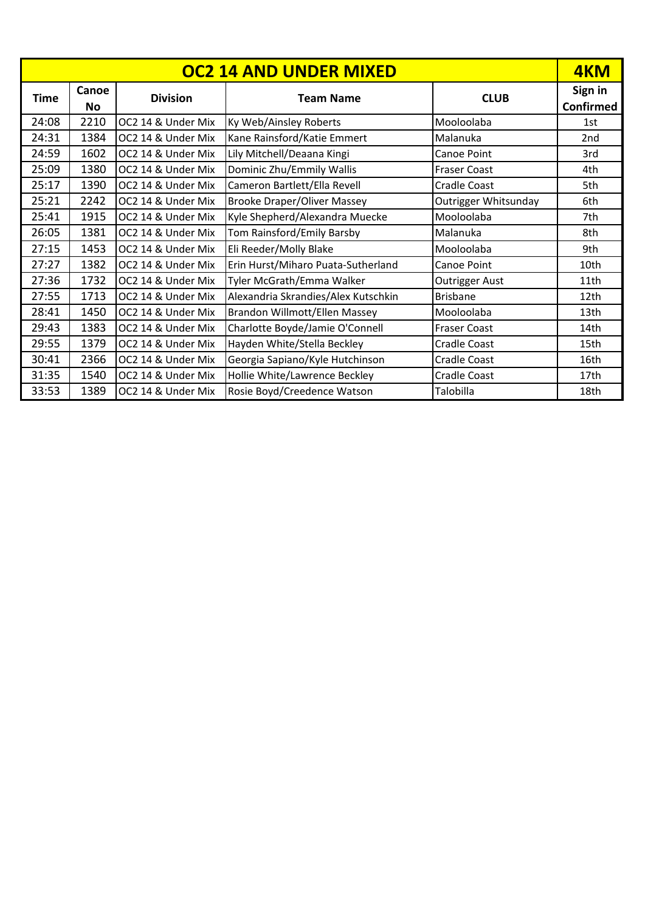|             |                    |                    | <b>OC2 14 AND UNDER MIXED</b>       |                      | 4KM                         |
|-------------|--------------------|--------------------|-------------------------------------|----------------------|-----------------------------|
| <b>Time</b> | Canoe<br><b>No</b> | <b>Division</b>    | <b>Team Name</b>                    | <b>CLUB</b>          | Sign in<br><b>Confirmed</b> |
| 24:08       | 2210               | OC2 14 & Under Mix | Ky Web/Ainsley Roberts              | Mooloolaba           | 1st                         |
| 24:31       | 1384               | OC2 14 & Under Mix | Kane Rainsford/Katie Emmert         | Malanuka             | 2 <sub>nd</sub>             |
| 24:59       | 1602               | OC2 14 & Under Mix | Lily Mitchell/Deaana Kingi          | Canoe Point          | 3rd                         |
| 25:09       | 1380               | OC2 14 & Under Mix | Dominic Zhu/Emmily Wallis           | Fraser Coast         | 4th                         |
| 25:17       | 1390               | OC2 14 & Under Mix | Cameron Bartlett/Ella Revell        | <b>Cradle Coast</b>  | 5th                         |
| 25:21       | 2242               | OC2 14 & Under Mix | <b>Brooke Draper/Oliver Massey</b>  | Outrigger Whitsunday | 6th                         |
| 25:41       | 1915               | OC2 14 & Under Mix | Kyle Shepherd/Alexandra Muecke      | Mooloolaba           | 7th                         |
| 26:05       | 1381               | OC2 14 & Under Mix | Tom Rainsford/Emily Barsby          | Malanuka             | 8th                         |
| 27:15       | 1453               | OC2 14 & Under Mix | Eli Reeder/Molly Blake              | Mooloolaba           | 9th                         |
| 27:27       | 1382               | OC2 14 & Under Mix | Erin Hurst/Miharo Puata-Sutherland  | Canoe Point          | 10th                        |
| 27:36       | 1732               | OC2 14 & Under Mix | Tyler McGrath/Emma Walker           | Outrigger Aust       | 11th                        |
| 27:55       | 1713               | OC2 14 & Under Mix | Alexandria Skrandies/Alex Kutschkin | <b>Brisbane</b>      | 12 <sub>th</sub>            |
| 28:41       | 1450               | OC2 14 & Under Mix | Brandon Willmott/Ellen Massey       | Mooloolaba           | 13th                        |
| 29:43       | 1383               | OC2 14 & Under Mix | Charlotte Boyde/Jamie O'Connell     | <b>Fraser Coast</b>  | 14th                        |
| 29:55       | 1379               | OC2 14 & Under Mix | Hayden White/Stella Beckley         | Cradle Coast         | 15th                        |
| 30:41       | 2366               | OC2 14 & Under Mix | Georgia Sapiano/Kyle Hutchinson     | <b>Cradle Coast</b>  | 16th                        |
| 31:35       | 1540               | OC2 14 & Under Mix | Hollie White/Lawrence Beckley       | Cradle Coast         | 17 <sub>th</sub>            |
| 33:53       | 1389               | OC2 14 & Under Mix | Rosie Boyd/Creedence Watson         | Talobilla            | 18th                        |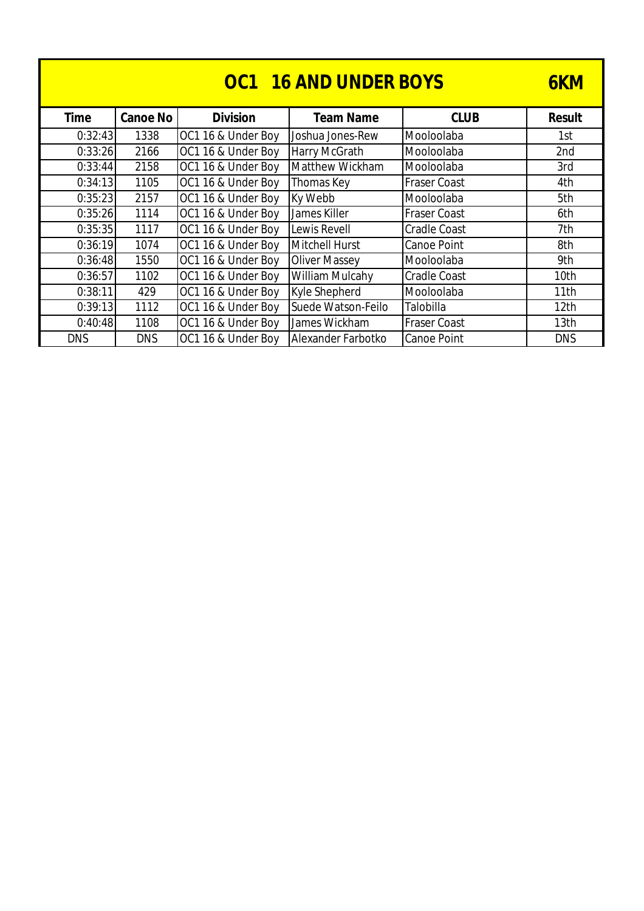|             | 6KM             |                    |                        |                     |                  |
|-------------|-----------------|--------------------|------------------------|---------------------|------------------|
| <b>Time</b> | <b>Canoe No</b> | <b>Division</b>    | <b>Team Name</b>       | <b>CLUB</b>         | <b>Result</b>    |
| 0:32:43     | 1338            | OC1 16 & Under Boy | Joshua Jones-Rew       | Mooloolaba          | 1st              |
| 0:33:26     | 2166            | OC1 16 & Under Boy | <b>Harry McGrath</b>   | Mooloolaba          | 2nd              |
| 0:33:44     | 2158            | OC1 16 & Under Boy | Matthew Wickham        | Mooloolaba          | 3rd              |
| 0:34:13     | 1105            | OC1 16 & Under Boy | Thomas Key             | <b>Fraser Coast</b> | 4th              |
| 0:35:23     | 2157            | OC1 16 & Under Boy | Ky Webb                | Mooloolaba          | 5th              |
| 0:35:26     | 1114            | OC1 16 & Under Boy | James Killer           | <b>Fraser Coast</b> | 6th              |
| 0:35:35     | 1117            | OC1 16 & Under Boy | Lewis Revell           | <b>Cradle Coast</b> | 7th              |
| 0:36:19     | 1074            | OC1 16 & Under Boy | Mitchell Hurst         | Canoe Point         | 8th              |
| 0:36:48     | 1550            | OC1 16 & Under Boy | <b>Oliver Massey</b>   | Mooloolaba          | 9th              |
| 0:36:57     | 1102            | OC1 16 & Under Boy | <b>William Mulcahy</b> | <b>Cradle Coast</b> | 10th             |
| 0:38:11     | 429             | OC1 16 & Under Boy | Kyle Shepherd          | Mooloolaba          | 11th             |
| 0:39:13     | 1112            | OC1 16 & Under Boy | Suede Watson-Feilo     | Talobilla           | 12 <sub>th</sub> |
| 0:40:48     | 1108            | OC1 16 & Under Boy | James Wickham          | <b>Fraser Coast</b> | 13 <sub>th</sub> |
| <b>DNS</b>  | <b>DNS</b>      | OC1 16 & Under Boy | Alexander Farbotko     | Canoe Point         | <b>DNS</b>       |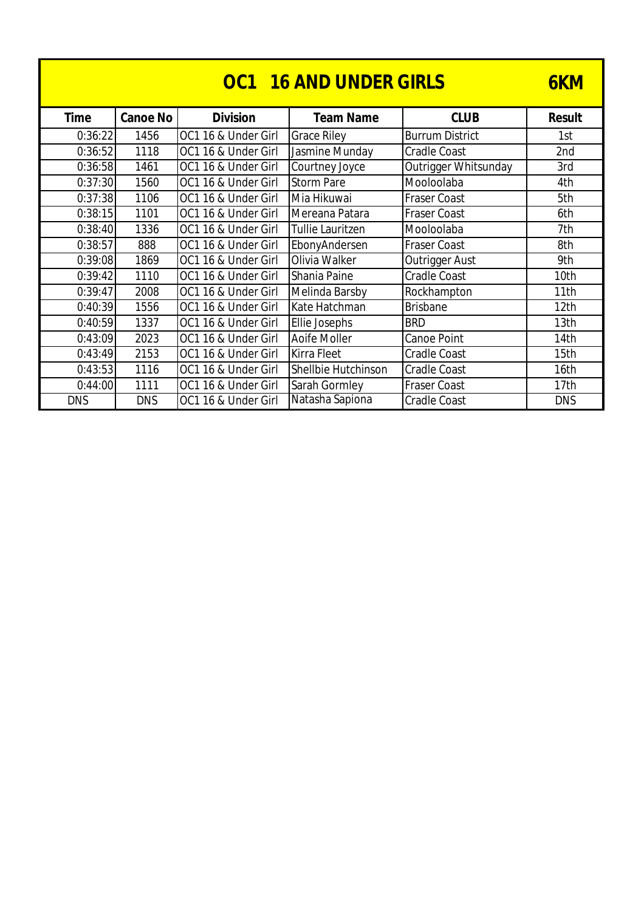| <b>OC1 16 AND UNDER GIRLS</b> |                 |                     |                         |                        |                  |  |
|-------------------------------|-----------------|---------------------|-------------------------|------------------------|------------------|--|
| <b>Time</b>                   | <b>Canoe No</b> | <b>Division</b>     | <b>Team Name</b>        | <b>CLUB</b>            | <b>Result</b>    |  |
| 0:36:22                       | 1456            | OC1 16 & Under Girl | <b>Grace Riley</b>      | <b>Burrum District</b> | 1st              |  |
| 0:36:52                       | 1118            | OC1 16 & Under Girl | Jasmine Munday          | <b>Cradle Coast</b>    | 2nd              |  |
| 0:36:58                       | 1461            | OC1 16 & Under Girl | Courtney Joyce          | Outrigger Whitsunday   | 3rd              |  |
| 0:37:30                       | 1560            | OC1 16 & Under Girl | <b>Storm Pare</b>       | Mooloolaba             | 4th              |  |
| 0:37:38                       | 1106            | OC1 16 & Under Girl | Mia Hikuwai             | <b>Fraser Coast</b>    | 5th              |  |
| 0:38:15                       | 1101            | OC1 16 & Under Girl | Mereana Patara          | <b>Fraser Coast</b>    | 6th              |  |
| 0:38:40                       | 1336            | OC1 16 & Under Girl | <b>Tullie Lauritzen</b> | Mooloolaba             | 7th              |  |
| 0:38:57                       | 888             | OC1 16 & Under Girl | EbonyAndersen           | <b>Fraser Coast</b>    | 8th              |  |
| 0:39:08                       | 1869            | OC1 16 & Under Girl | Olivia Walker           | Outrigger Aust         | 9th              |  |
| 0:39:42                       | 1110            | OC1 16 & Under Girl | Shania Paine            | <b>Cradle Coast</b>    | 10th             |  |
| 0:39:47                       | 2008            | OC1 16 & Under Girl | Melinda Barsby          | Rockhampton            | 11th             |  |
| 0:40:39                       | 1556            | OC1 16 & Under Girl | Kate Hatchman           | <b>Brisbane</b>        | 12 <sub>th</sub> |  |
| 0:40:59                       | 1337            | OC1 16 & Under Girl | Ellie Josephs           | <b>BRD</b>             | 13th             |  |
| 0:43:09                       | 2023            | OC1 16 & Under Girl | Aoife Moller            | Canoe Point            | 14th             |  |
| 0:43:49                       | 2153            | OC1 16 & Under Girl | Kirra Fleet             | <b>Cradle Coast</b>    | 15th             |  |
| 0:43:53                       | 1116            | OC1 16 & Under Girl | Shellbie Hutchinson     | Cradle Coast           | 16th             |  |
| 0:44:00                       | 1111            | OC1 16 & Under Girl | Sarah Gormley           | <b>Fraser Coast</b>    | 17th             |  |
| <b>DNS</b>                    | <b>DNS</b>      | OC1 16 & Under Girl | Natasha Sapiona         | <b>Cradle Coast</b>    | <b>DNS</b>       |  |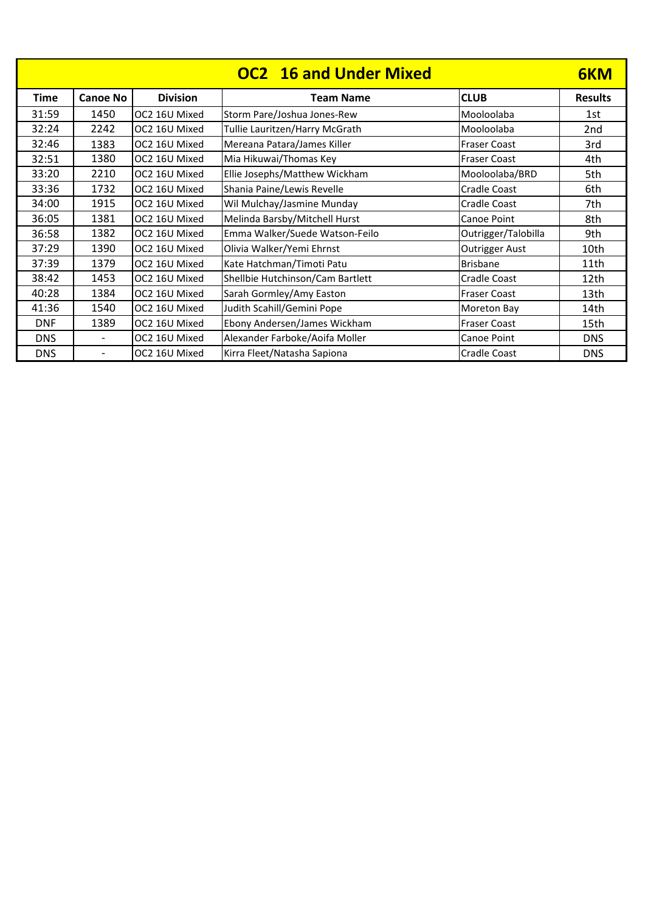| <b>OC2</b> 16 and Under Mixed |                          |                 |                                  |                       |                 |
|-------------------------------|--------------------------|-----------------|----------------------------------|-----------------------|-----------------|
| <b>Time</b>                   | <b>Canoe No</b>          | <b>Division</b> | <b>Team Name</b>                 | <b>CLUB</b>           | <b>Results</b>  |
| 31:59                         | 1450                     | OC2 16U Mixed   | Storm Pare/Joshua Jones-Rew      | Mooloolaba            | 1st             |
| 32:24                         | 2242                     | OC2 16U Mixed   | Tullie Lauritzen/Harry McGrath   | Mooloolaba            | 2 <sub>nd</sub> |
| 32:46                         | 1383                     | OC2 16U Mixed   | Mereana Patara/James Killer      | <b>Fraser Coast</b>   | 3rd             |
| 32:51                         | 1380                     | OC2 16U Mixed   | Mia Hikuwai/Thomas Key           | <b>Fraser Coast</b>   | 4th             |
| 33:20                         | 2210                     | OC2 16U Mixed   | Ellie Josephs/Matthew Wickham    | Mooloolaba/BRD        | 5th             |
| 33:36                         | 1732                     | OC2 16U Mixed   | Shania Paine/Lewis Revelle       | Cradle Coast          | 6th             |
| 34:00                         | 1915                     | OC2 16U Mixed   | Wil Mulchay/Jasmine Munday       | Cradle Coast          | 7th             |
| 36:05                         | 1381                     | OC2 16U Mixed   | Melinda Barsby/Mitchell Hurst    | Canoe Point           | 8th             |
| 36:58                         | 1382                     | OC2 16U Mixed   | Emma Walker/Suede Watson-Feilo   | Outrigger/Talobilla   | 9th             |
| 37:29                         | 1390                     | OC2 16U Mixed   | Olivia Walker/Yemi Ehrnst        | <b>Outrigger Aust</b> | 10th            |
| 37:39                         | 1379                     | OC2 16U Mixed   | Kate Hatchman/Timoti Patu        | <b>Brisbane</b>       | 11th            |
| 38:42                         | 1453                     | OC2 16U Mixed   | Shellbie Hutchinson/Cam Bartlett | Cradle Coast          | 12th            |
| 40:28                         | 1384                     | OC2 16U Mixed   | Sarah Gormley/Amy Easton         | <b>Fraser Coast</b>   | 13th            |
| 41:36                         | 1540                     | OC2 16U Mixed   | Judith Scahill/Gemini Pope       | Moreton Bay           | 14th            |
| <b>DNF</b>                    | 1389                     | OC2 16U Mixed   | Ebony Andersen/James Wickham     | <b>Fraser Coast</b>   | 15th            |
| <b>DNS</b>                    | $\overline{\phantom{a}}$ | OC2 16U Mixed   | Alexander Farboke/Aoifa Moller   | Canoe Point           | <b>DNS</b>      |
| <b>DNS</b>                    | $\overline{\phantom{a}}$ | OC2 16U Mixed   | Kirra Fleet/Natasha Sapiona      | Cradle Coast          | <b>DNS</b>      |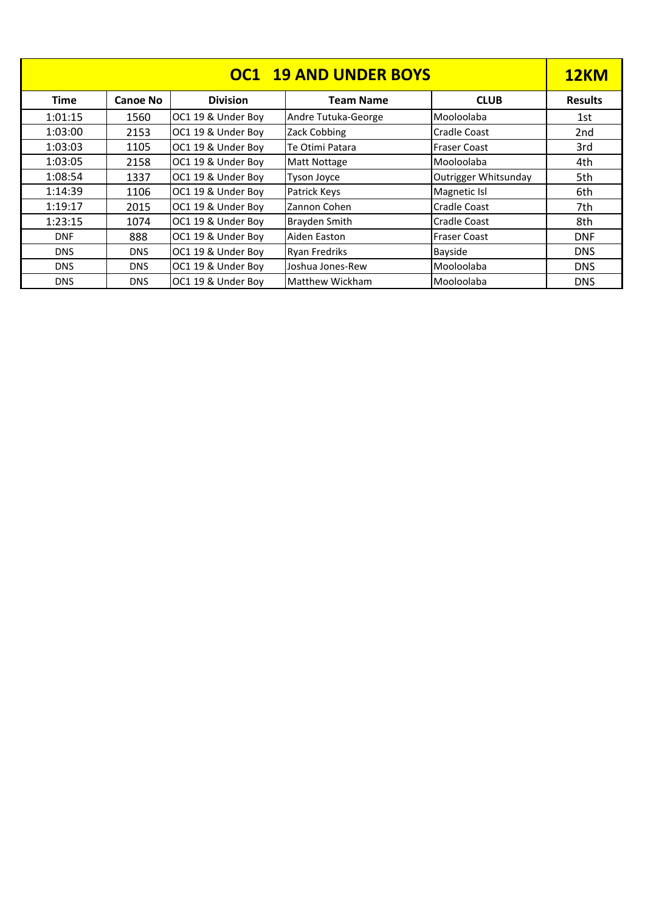| <b>OC1 19 AND UNDER BOYS</b> |                 |                    |                      |                      |                 |
|------------------------------|-----------------|--------------------|----------------------|----------------------|-----------------|
| <b>Time</b>                  | <b>Canoe No</b> | <b>Division</b>    | <b>Team Name</b>     | <b>CLUB</b>          | <b>Results</b>  |
| 1:01:15                      | 1560            | OC1 19 & Under Boy | Andre Tutuka-George  | Mooloolaba           | 1st             |
| 1:03:00                      | 2153            | OC1 19 & Under Boy | Zack Cobbing         | <b>Cradle Coast</b>  | 2 <sub>nd</sub> |
| 1:03:03                      | 1105            | OC1 19 & Under Boy | Te Otimi Patara      | <b>Fraser Coast</b>  | 3rd             |
| 1:03:05                      | 2158            | OC1 19 & Under Boy | <b>Matt Nottage</b>  | Mooloolaba           | 4th             |
| 1:08:54                      | 1337            | OC1 19 & Under Boy | <b>Tyson Joyce</b>   | Outrigger Whitsunday | 5th             |
| 1:14:39                      | 1106            | OC1 19 & Under Boy | Patrick Keys         | Magnetic Isl         | 6th             |
| 1:19:17                      | 2015            | OC1 19 & Under Boy | Zannon Cohen         | <b>Cradle Coast</b>  | 7th             |
| 1:23:15                      | 1074            | OC1 19 & Under Boy | <b>Brayden Smith</b> | <b>Cradle Coast</b>  | 8th             |
| <b>DNF</b>                   | 888             | OC1 19 & Under Boy | Aiden Easton         | <b>Fraser Coast</b>  | <b>DNF</b>      |
| <b>DNS</b>                   | <b>DNS</b>      | OC1 19 & Under Boy | <b>Ryan Fredriks</b> | Bayside              | <b>DNS</b>      |
| <b>DNS</b>                   | <b>DNS</b>      | OC1 19 & Under Boy | Joshua Jones-Rew     | Mooloolaba           | <b>DNS</b>      |
| <b>DNS</b>                   | <b>DNS</b>      | OC1 19 & Under Boy | Matthew Wickham      | Mooloolaba           | <b>DNS</b>      |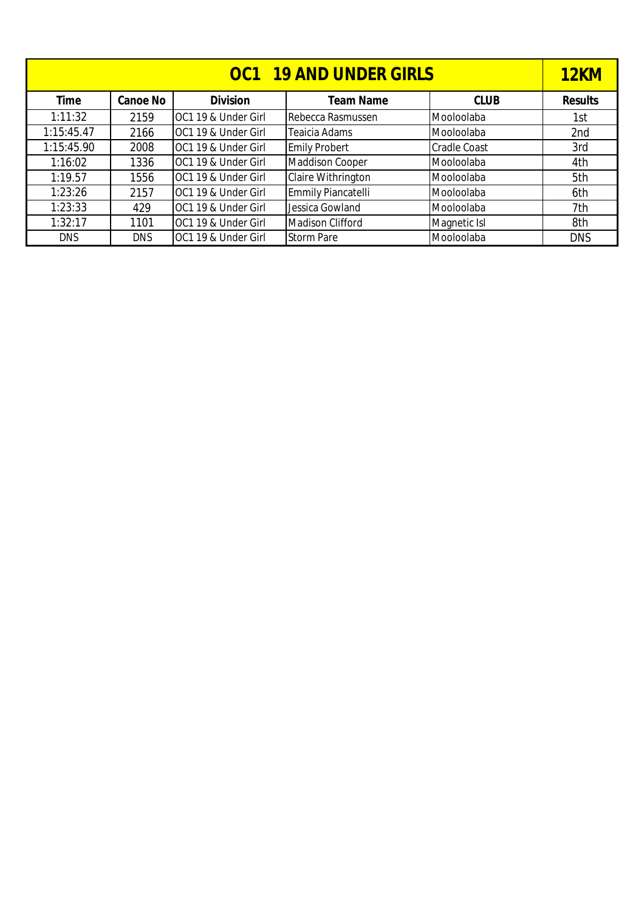| <b>OC1 19 AND UNDER GIRLS</b> |                 |                     |                         |                     |                |
|-------------------------------|-----------------|---------------------|-------------------------|---------------------|----------------|
| <b>Time</b>                   | <b>Canoe No</b> | <b>Division</b>     | <b>Team Name</b>        | <b>CLUB</b>         | <b>Results</b> |
| 1:11:32                       | 2159            | OC1 19 & Under Girl | Rebecca Rasmussen       | Mooloolaba          | 1st            |
| 1:15:45.47                    | 2166            | OC1 19 & Under Girl | Teaicia Adams           | Mooloolaba          | 2nd            |
| 1:15:45.90                    | 2008            | OC1 19 & Under Girl | <b>Emily Probert</b>    | <b>Cradle Coast</b> | 3rd            |
| 1:16:02                       | 1336            | OC1 19 & Under Girl | <b>Maddison Cooper</b>  | Mooloolaba          | 4th            |
| 1:19.57                       | 1556            | OC1 19 & Under Girl | Claire Withrington      | Mooloolaba          | 5th            |
| 1:23:26                       | 2157            | OC1 19 & Under Girl | Emmily Piancatelli      | Mooloolaba          | 6th            |
| 1:23:33                       | 429             | OC1 19 & Under Girl | Jessica Gowland         | Mooloolaba          | 7th            |
| 1:32:17                       | 1101            | OC1 19 & Under Girl | <b>Madison Clifford</b> | Magnetic Isl        | 8th            |
| <b>DNS</b>                    | <b>DNS</b>      | OC1 19 & Under Girl | <b>Storm Pare</b>       | Mooloolaba          | <b>DNS</b>     |